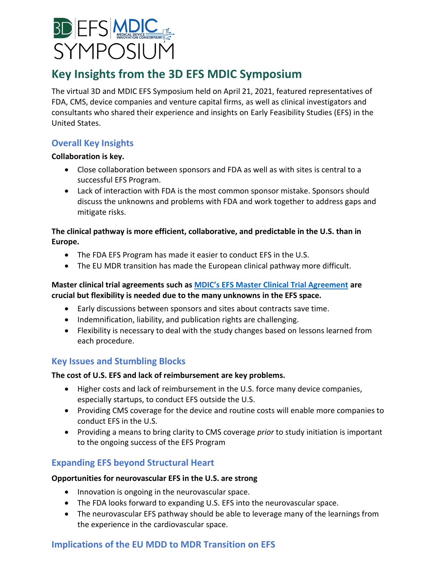

# **Key Insights from the 3D EFS MDIC Symposium**

The virtual 3D and MDIC EFS Symposium held on April 21, 2021, featured representatives of FDA, CMS, device companies and venture capital firms, as well as clinical investigators and consultants who shared their experience and insights on Early Feasibility Studies (EFS) in the United States.

## **Overall Key Insights**

#### **Collaboration is key.**

- Close collaboration between sponsors and FDA as well as with sites is central to a successful EFS Program.
- Lack of interaction with FDA is the most common sponsor mistake. Sponsors should discuss the unknowns and problems with FDA and work together to address gaps and mitigate risks.

**The clinical pathway is more efficient, collaborative, and predictable in the U.S. than in Europe.** 

- The FDA EFS Program has made it easier to conduct EFS in the U.S.
- The EU MDR transition has made the European clinical pathway more difficult.

**Master clinical trial agreements such as [MDIC's EFS Master Clinical Trial Agreement](https://mdic.org/resource/efs-master-clinical-trial-agreement-mcta/) are crucial but flexibility is needed due to the many unknowns in the EFS space.**

- Early discussions between sponsors and sites about contracts save time.
- Indemnification, liability, and publication rights are challenging.
- Flexibility is necessary to deal with the study changes based on lessons learned from each procedure.

## **Key Issues and Stumbling Blocks**

#### **The cost of U.S. EFS and lack of reimbursement are key problems.**

- Higher costs and lack of reimbursement in the U.S. force many device companies, especially startups, to conduct EFS outside the U.S.
- Providing CMS coverage for the device and routine costs will enable more companies to conduct EFS in the U.S.
- Providing a means to bring clarity to CMS coverage *prior* to study initiation is important to the ongoing success of the EFS Program

## **Expanding EFS beyond Structural Heart**

#### **Opportunities for neurovascular EFS in the U.S. are strong**

- Innovation is ongoing in the neurovascular space.
- The FDA looks forward to expanding U.S. EFS into the neurovascular space.
- The neurovascular EFS pathway should be able to leverage many of the learnings from the experience in the cardiovascular space.

## **Implications of the EU MDD to MDR Transition on EFS**